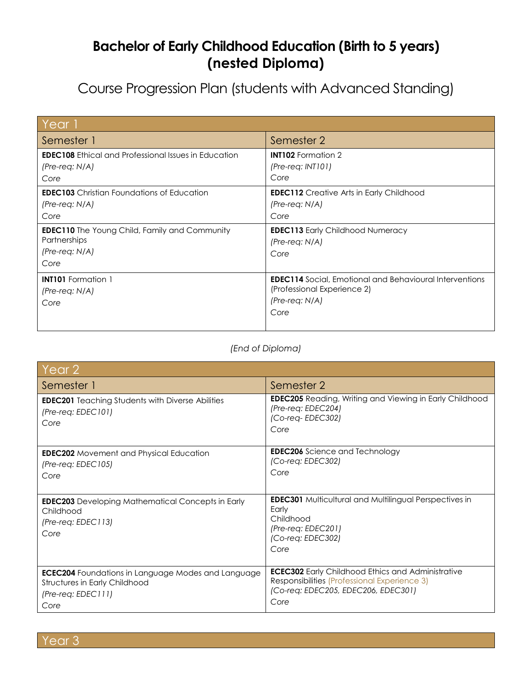## **Bachelor of Early Childhood Education (Birth to 5 years) (nested Diploma)**

Course Progression Plan (students with Advanced Standing)

| Year <sup>1</sup>                                                                                                                                                                 |                                                                                                                                                    |
|-----------------------------------------------------------------------------------------------------------------------------------------------------------------------------------|----------------------------------------------------------------------------------------------------------------------------------------------------|
| Semester 1                                                                                                                                                                        | Semester 2                                                                                                                                         |
| <b>EDEC108</b> Ethical and Professional Issues in Education<br>$(Pre-reg: N/A)$<br>Core                                                                                           | <b>INT102</b> Formation 2<br>$(Pre-reg: INTI01)$<br>Core                                                                                           |
| <b>EDEC103</b> Christian Foundations of Education<br>$(Pre-reg: N/A)$<br>Core<br><b>EDEC110</b> The Young Child, Family and Community<br>Partnerships<br>$(Pre-reg: N/A)$<br>Core | <b>EDEC112</b> Creative Arts in Early Childhood<br>$(Pre-reg: N/A)$<br>Core<br><b>EDEC113</b> Early Childhood Numeracy<br>$(Pre-reg: N/A)$<br>Core |
| <b>INT101</b> Formation 1<br>$(Pre-reg: N/A)$<br>Core                                                                                                                             | <b>EDEC114</b> Social, Emotional and Behavioural Interventions<br>(Professional Experience 2)<br>$(Pre-reg: N/A)$<br>Core                          |

## *(End of Diploma)*

| Year 2                                                                                                                            |                                                                                                                                                         |  |
|-----------------------------------------------------------------------------------------------------------------------------------|---------------------------------------------------------------------------------------------------------------------------------------------------------|--|
| Semester 1                                                                                                                        | Semester 2                                                                                                                                              |  |
| <b>EDEC201</b> Teaching Students with Diverse Abilities<br>$(Pre-reg: EDEC101)$<br>Core                                           | EDEC205 Reading, Writing and Viewing in Early Childhood<br>(Pre-req: EDEC204)<br>(Co-req-EDEC302)<br>Core                                               |  |
| <b>EDEC202</b> Movement and Physical Education<br>$(Pre-reg: EDEC105)$<br>Core                                                    | <b>EDEC206</b> Science and Technology<br>$(Co$ -req: EDEC302)<br>Core                                                                                   |  |
| <b>EDEC203</b> Developing Mathematical Concepts in Early<br>Childhood<br>$(Pre-reg: EDEC113)$<br>Core                             | <b>EDEC301</b> Multicultural and Multilingual Perspectives in<br>Early<br>Childhood<br>$(Pre-reg: EDEC201)$<br>$(Co$ -req: EDEC302)<br>Core             |  |
| <b>ECEC204</b> Foundations in Language Modes and Language<br><b>Structures in Early Childhood</b><br>$(Pre-reg: EDECIII)$<br>Core | <b>ECEC302</b> Early Childhood Ethics and Administrative<br>Responsibilities (Professional Experience 3)<br>(Co-req: EDEC205, EDEC206, EDEC301)<br>Core |  |